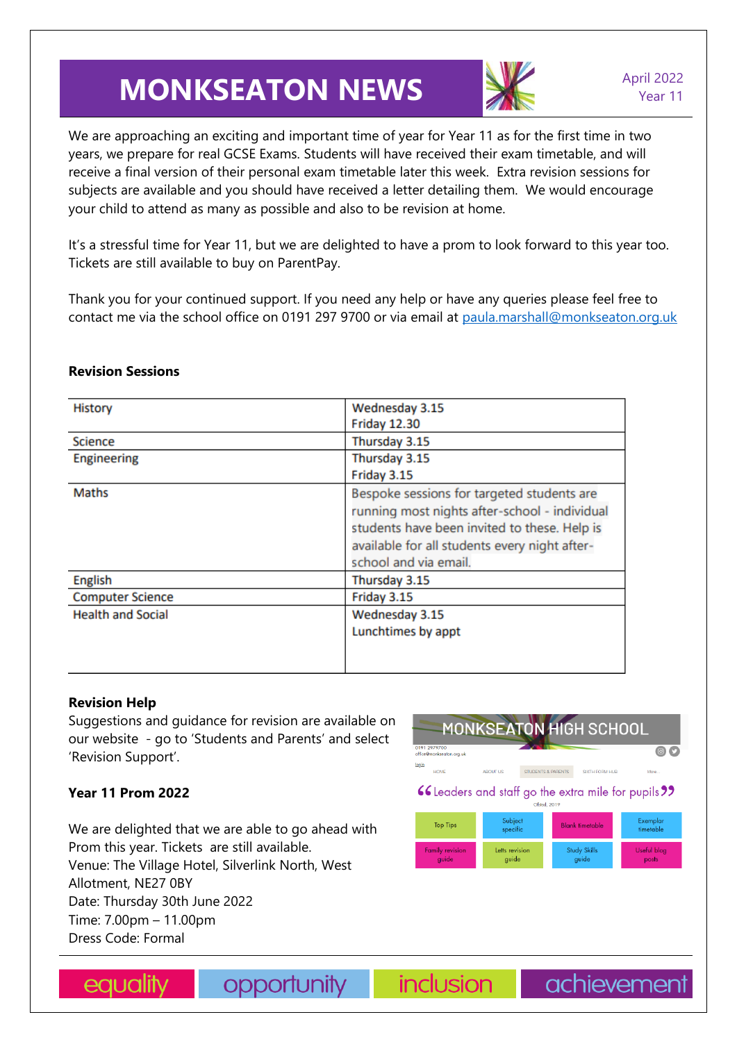# **MONKSEATON NEWS** April 2022



We are approaching an exciting and important time of year for Year 11 as for the first time in two years, we prepare for real GCSE Exams. Students will have received their exam timetable, and will receive a final version of their personal exam timetable later this week. Extra revision sessions for subjects are available and you should have received a letter detailing them. We would encourage your child to attend as many as possible and also to be revision at home.

It's a stressful time for Year 11, but we are delighted to have a prom to look forward to this year too. Tickets are still available to buy on ParentPay.

Thank you for your continued support. If you need any help or have any queries please feel free to contact me via the school office on 0191 297 9700 or via email at [paula.marshall@monkseaton.org.uk](mailto:paula.marshall@monkseaton.org.uk)

| <b>History</b>           | Wednesday 3.15                                |
|--------------------------|-----------------------------------------------|
|                          |                                               |
|                          | <b>Friday 12.30</b>                           |
| <b>Science</b>           | Thursday 3.15                                 |
| <b>Engineering</b>       | Thursday 3.15                                 |
|                          | Friday 3.15                                   |
| <b>Maths</b>             | Bespoke sessions for targeted students are    |
|                          | running most nights after-school - individual |
|                          | students have been invited to these. Help is  |
|                          | available for all students every night after- |
|                          | school and via email.                         |
| English                  | Thursday 3.15                                 |
| <b>Computer Science</b>  | Friday 3.15                                   |
| <b>Health and Social</b> | Wednesday 3.15                                |
|                          | Lunchtimes by appt                            |
|                          |                                               |
|                          |                                               |
|                          |                                               |

### **Revision Sessions**

## **Revision Help**

Suggestions and guidance for revision are available on our website - go to 'Students and Parents' and select 'Revision Support'.

## **Year 11 Prom 2022**

We are delighted that we are able to go ahead with Prom this year. Tickets are still available. Venue: The Village Hotel, Silverlink North, West Allotment, NE27 0BY Date: Thursday 30th June 2022 Time: 7.00pm – 11.00pm Dress Code: Formal





opportunity

**inclusion** 

achievement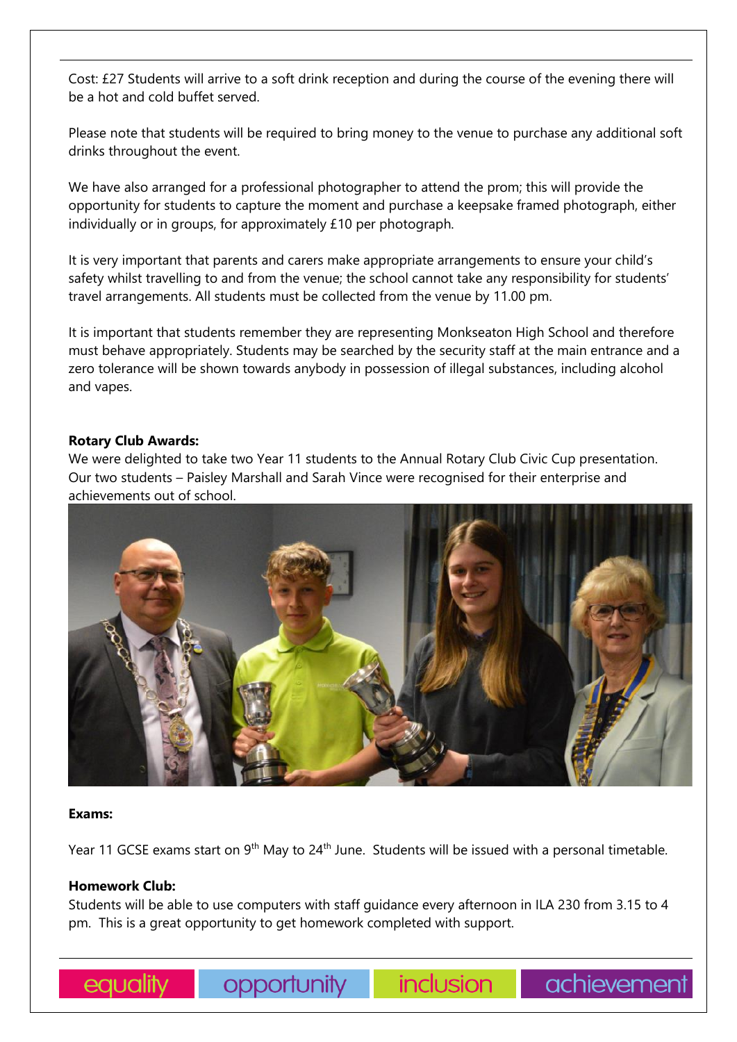Cost: £27 Students will arrive to a soft drink reception and during the course of the evening there will be a hot and cold buffet served.

Please note that students will be required to bring money to the venue to purchase any additional soft drinks throughout the event.

We have also arranged for a professional photographer to attend the prom; this will provide the opportunity for students to capture the moment and purchase a keepsake framed photograph, either individually or in groups, for approximately £10 per photograph.

It is very important that parents and carers make appropriate arrangements to ensure your child's safety whilst travelling to and from the venue; the school cannot take any responsibility for students' travel arrangements. All students must be collected from the venue by 11.00 pm.

It is important that students remember they are representing Monkseaton High School and therefore must behave appropriately. Students may be searched by the security staff at the main entrance and a zero tolerance will be shown towards anybody in possession of illegal substances, including alcohol and vapes.

#### **Rotary Club Awards:**

We were delighted to take two Year 11 students to the Annual Rotary Club Civic Cup presentation. Our two students – Paisley Marshall and Sarah Vince were recognised for their enterprise and achievements out of school.



#### **Exams:**

Year 11 GCSE exams start on 9<sup>th</sup> May to 24<sup>th</sup> June. Students will be issued with a personal timetable.

#### **Homework Club:**

Students will be able to use computers with staff guidance every afternoon in ILA 230 from 3.15 to 4 pm. This is a great opportunity to get homework completed with support.

**Opportunity** 

inclusion

achievement

equality